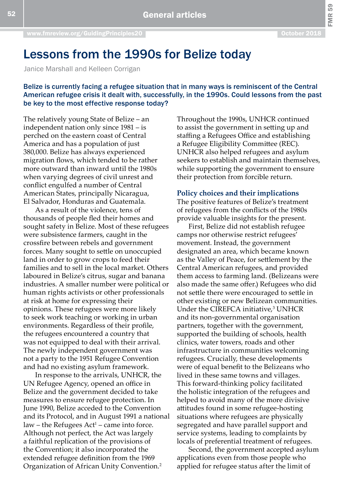FMR 59

# Lessons from the 1990s for Belize today

Janice Marshall and Kelleen Corrigan

# Belize is currently facing a refugee situation that in many ways is reminiscent of the Central American refugee crisis it dealt with, successfully, in the 1990s. Could lessons from the past be key to the most effective response today?

The relatively young State of Belize – an independent nation only since 1981 – is perched on the eastern coast of Central America and has a population of just 380,000. Belize has always experienced migration flows, which tended to be rather more outward than inward until the 1980s when varying degrees of civil unrest and conflict engulfed a number of Central American States, principally Nicaragua, El Salvador, Honduras and Guatemala.

As a result of the violence, tens of thousands of people fled their homes and sought safety in Belize. Most of these refugees were subsistence farmers, caught in the crossfire between rebels and government forces. Many sought to settle on unoccupied land in order to grow crops to feed their families and to sell in the local market. Others laboured in Belize's citrus, sugar and banana industries. A smaller number were political or human rights activists or other professionals at risk at home for expressing their opinions. These refugees were more likely to seek work teaching or working in urban environments. Regardless of their profile, the refugees encountered a country that was not equipped to deal with their arrival. The newly independent government was not a party to the 1951 Refugee Convention and had no existing asylum framework.

In response to the arrivals, UNHCR, the UN Refugee Agency, opened an office in Belize and the government decided to take measures to ensure refugee protection. In June 1990, Belize acceded to the Convention and its Protocol, and in August 1991 a national law – the Refugees Act<sup>1</sup> – came into force. Although not perfect, the Act was largely a faithful replication of the provisions of the Convention; it also incorporated the extended refugee definition from the 1969 Organization of African Unity Convention.2

Throughout the 1990s, UNHCR continued to assist the government in setting up and staffing a Refugees Office and establishing a Refugee Eligibility Committee (REC). UNHCR also helped refugees and asylum seekers to establish and maintain themselves, while supporting the government to ensure their protection from forcible return.

#### **Policy choices and their implications**

The positive features of Belize's treatment of refugees from the conflicts of the 1980s provide valuable insights for the present.

First, Belize did not establish refugee camps nor otherwise restrict refugees' movement. Instead, the government designated an area, which became known as the Valley of Peace, for settlement by the Central American refugees, and provided them access to farming land. (Belizeans were also made the same offer.) Refugees who did not settle there were encouraged to settle in other existing or new Belizean communities. Under the CIREFCA initiative,<sup>3</sup> UNHCR and its non-governmental organisation partners, together with the government, supported the building of schools, health clinics, water towers, roads and other infrastructure in communities welcoming refugees. Crucially, these developments were of equal benefit to the Belizeans who lived in these same towns and villages. This forward-thinking policy facilitated the holistic integration of the refugees and helped to avoid many of the more divisive attitudes found in some refugee-hosting situations where refugees are physically segregated and have parallel support and service systems, leading to complaints by locals of preferential treatment of refugees.

Second, the government accepted asylum applications even from those people who applied for refugee status after the limit of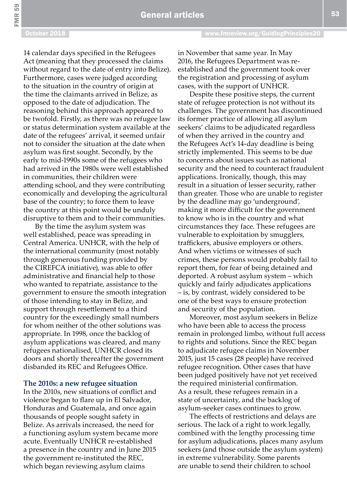FMR 59

14 calendar days specified in the Refugees Act (meaning that they processed the claims without regard to the date of entry into Belize). Furthermore, cases were judged according to the situation in the country of origin at the time the claimants arrived in Belize, as opposed to the date of adjudication. The reasoning behind this approach appeared to be twofold. Firstly, as there was no refugee law or status determination system available at the date of the refugees' arrival, it seemed unfair not to consider the situation at the date when asylum was first sought. Secondly, by the early to mid-1990s some of the refugees who had arrived in the 1980s were well established in communities, their children were attending school, and they were contributing economically and developing the agricultural base of the country; to force them to leave the country at this point would be unduly disruptive to them and to their communities.

By the time the asylum system was well established, peace was spreading in Central America. UNHCR, with the help of the international community (most notably through generous funding provided by the CIREFCA initiative), was able to offer administrative and financial help to those who wanted to repatriate, assistance to the government to ensure the smooth integration of those intending to stay in Belize, and support through resettlement to a third country for the exceedingly small numbers for whom neither of the other solutions was appropriate. In 1998, once the backlog of asylum applications was cleared, and many refugees nationalised, UNHCR closed its doors and shortly thereafter the government disbanded its REC and Refugees Office.

#### **The 2010s: a new refugee situation**

In the 2010s, new situations of conflict and violence began to flare up in El Salvador, Honduras and Guatemala, and once again thousands of people sought safety in Belize. As arrivals increased, the need for a functioning asylum system became more acute. Eventually UNHCR re-established a presence in the country and in June 2015 the government re-instituted the REC, which began reviewing asylum claims

in November that same year. In May 2016, the Refugees Department was reestablished and the government took over the registration and processing of asylum cases, with the support of UNHCR.

Despite these positive steps, the current state of refugee protection is not without its challenges. The government has discontinued its former practice of allowing all asylum seekers' claims to be adjudicated regardless of when they arrived in the country and the Refugees Act's 14-day deadline is being strictly implemented. This seems to be due to concerns about issues such as national security and the need to counteract fraudulent applications. Ironically, though, this may result in a situation of lesser security, rather than greater. Those who are unable to register by the deadline may go 'underground', making it more difficult for the government to know who is in the country and what circumstances they face. These refugees are vulnerable to exploitation by smugglers, traffickers, abusive employers or others. And when victims or witnesses of such crimes, these persons would probably fail to report them, for fear of being detained and deported. A robust asylum system – which quickly and fairly adjudicates applications – is, by contrast, widely considered to be one of the best ways to ensure protection and security of the population.

Moreover, most asylum seekers in Belize who have been able to access the process remain in prolonged limbo, without full access to rights and solutions. Since the REC began to adjudicate refugee claims in November 2015, just 15 cases (28 people) have received refugee recognition. Other cases that have been judged positively have not yet received the required ministerial confirmation. As a result, these refugees remain in a state of uncertainty, and the backlog of asylum-seeker cases continues to grow.

The effects of restrictions and delays are serious. The lack of a right to work legally, combined with the lengthy processing time for asylum adjudications, places many asylum seekers (and those outside the asylum system) in extreme vulnerability. Some parents are unable to send their children to school